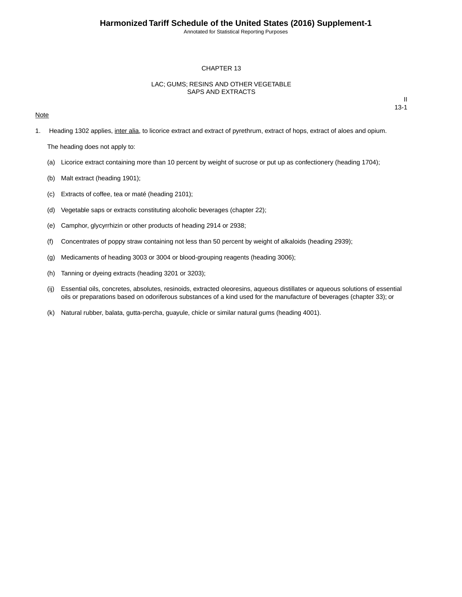Annotated for Statistical Reporting Purposes

#### CHAPTER 13

### LAC; GUMS; RESINS AND OTHER VEGETABLE SAPS AND EXTRACTS

#### **Note**

II 13-1

1. Heading 1302 applies, inter alia, to licorice extract and extract of pyrethrum, extract of hops, extract of aloes and opium.

The heading does not apply to:

- (a) Licorice extract containing more than 10 percent by weight of sucrose or put up as confectionery (heading 1704);
- (b) Malt extract (heading 1901);
- (c) Extracts of coffee, tea or maté (heading 2101);
- (d) Vegetable saps or extracts constituting alcoholic beverages (chapter 22);
- (e) Camphor, glycyrrhizin or other products of heading 2914 or 2938;
- (f) Concentrates of poppy straw containing not less than 50 percent by weight of alkaloids (heading 2939);
- (g) Medicaments of heading 3003 or 3004 or blood-grouping reagents (heading 3006);
- (h) Tanning or dyeing extracts (heading 3201 or 3203);
- (ij) Essential oils, concretes, absolutes, resinoids, extracted oleoresins, aqueous distillates or aqueous solutions of essential oils or preparations based on odoriferous substances of a kind used for the manufacture of beverages (chapter 33); or
- (k) Natural rubber, balata, gutta-percha, guayule, chicle or similar natural gums (heading 4001).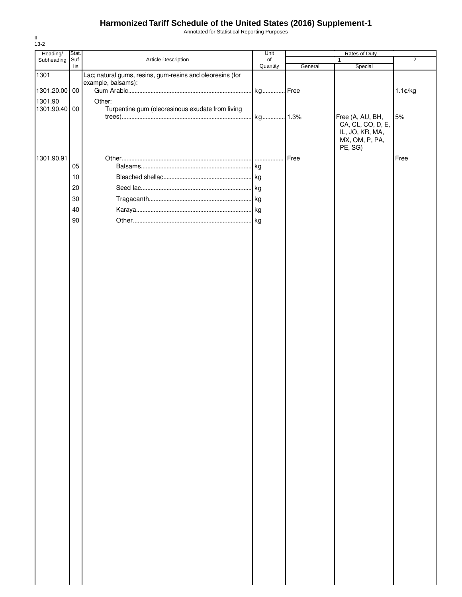## **Harmonized Tariff Schedule of the United States (2016) Supplement-1**

Annotated for Statistical Reporting Purposes

| Heading/      | Stat.  |                                                           | Unit     | Rates of Duty |                                   |                |
|---------------|--------|-----------------------------------------------------------|----------|---------------|-----------------------------------|----------------|
| Subheading    | Suf-   | Article Description                                       | of       |               | 1                                 | $\overline{2}$ |
| 1301          | fix    | Lac; natural gums, resins, gum-resins and oleoresins (for | Quantity | General       | Special                           |                |
|               |        | example, balsams):                                        |          |               |                                   |                |
| 1301.20.00 00 |        |                                                           | kg Free  |               |                                   | $1.1$ ¢/kg     |
| 1301.90       |        | Other:                                                    |          |               |                                   |                |
| 1301.90.40    | 00     | Turpentine gum (oleoresinous exudate from living          |          |               |                                   |                |
|               |        |                                                           | kg 1.3%  |               | Free (A, AU, BH,                  | 5%             |
|               |        |                                                           |          |               | CA, CL, CO, D, E,                 |                |
|               |        |                                                           |          |               | IL, JO, KR, MA,<br>MX, OM, P, PA, |                |
|               |        |                                                           |          |               | PE, SG)                           |                |
| 1301.90.91    |        |                                                           |          |               |                                   | Free           |
|               | 05     |                                                           |          | Free          |                                   |                |
|               | $10$   |                                                           |          |               |                                   |                |
|               |        |                                                           |          |               |                                   |                |
|               | 20     |                                                           |          |               |                                   |                |
|               | $30\,$ |                                                           |          |               |                                   |                |
|               | 40     |                                                           |          |               |                                   |                |
|               | 90     |                                                           | . kg     |               |                                   |                |
|               |        |                                                           |          |               |                                   |                |
|               |        |                                                           |          |               |                                   |                |
|               |        |                                                           |          |               |                                   |                |
|               |        |                                                           |          |               |                                   |                |
|               |        |                                                           |          |               |                                   |                |
|               |        |                                                           |          |               |                                   |                |
|               |        |                                                           |          |               |                                   |                |
|               |        |                                                           |          |               |                                   |                |
|               |        |                                                           |          |               |                                   |                |
|               |        |                                                           |          |               |                                   |                |
|               |        |                                                           |          |               |                                   |                |
|               |        |                                                           |          |               |                                   |                |
|               |        |                                                           |          |               |                                   |                |
|               |        |                                                           |          |               |                                   |                |
|               |        |                                                           |          |               |                                   |                |
|               |        |                                                           |          |               |                                   |                |
|               |        |                                                           |          |               |                                   |                |
|               |        |                                                           |          |               |                                   |                |
|               |        |                                                           |          |               |                                   |                |
|               |        |                                                           |          |               |                                   |                |
|               |        |                                                           |          |               |                                   |                |
|               |        |                                                           |          |               |                                   |                |
|               |        |                                                           |          |               |                                   |                |
|               |        |                                                           |          |               |                                   |                |
|               |        |                                                           |          |               |                                   |                |
|               |        |                                                           |          |               |                                   |                |
|               |        |                                                           |          |               |                                   |                |
|               |        |                                                           |          |               |                                   |                |
|               |        |                                                           |          |               |                                   |                |
|               |        |                                                           |          |               |                                   |                |
|               |        |                                                           |          |               |                                   |                |
|               |        |                                                           |          |               |                                   |                |
|               |        |                                                           |          |               |                                   |                |
|               |        |                                                           |          |               |                                   |                |
|               |        |                                                           |          |               |                                   |                |
|               |        |                                                           |          |               |                                   |                |
|               |        |                                                           |          |               |                                   |                |
|               |        |                                                           |          |               |                                   |                |
|               |        |                                                           |          |               |                                   |                |

II 13-2